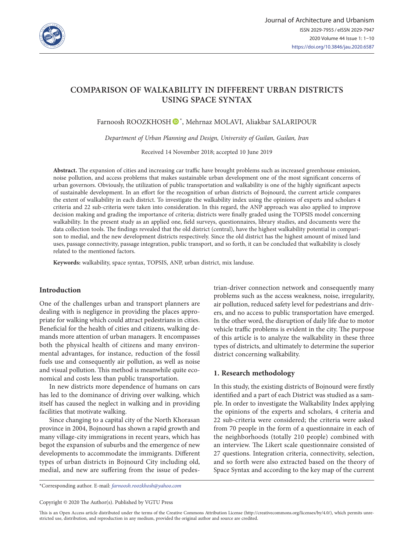

# **COMPARISON OF WALKABILITY IN DIFFERENT URBAN DISTRICTS USING SPACE SYNTAX**

Farnoosh ROOZKHOSH  $\bullet$ \*, Mehrnaz MOLAVI, Aliakbar SALARIPOUR

*Department of Urban Planning and Design, University of Guilan, Guilan, Iran*

Received 14 November 2018; accepted 10 June 2019

**Abstract.** The expansion of cities and increasing car traffic have brought problems such as increased greenhouse emission, noise pollution, and access problems that makes sustainable urban development one of the most significant concerns of urban governors. Obviously, the utilization of public transportation and walkability is one of the highly significant aspects of sustainable development. In an effort for the recognition of urban districts of Bojnourd, the current article compares the extent of walkability in each district. To investigate the walkability index using the opinions of experts and scholars 4 criteria and 22 sub-criteria were taken into consideration. In this regard, the ANP approach was also applied to improve decision making and grading the importance of criteria; districts were finally graded using the TOPSIS model concerning walkability. In the present study as an applied one, field surveys, questionnaires, library studies, and documents were the data collection tools. The findings revealed that the old district (central), have the highest walkability potential in comparison to medial, and the new development districts respectively. Since the old district has the highest amount of mixed land uses, passage connectivity, passage integration, public transport, and so forth, it can be concluded that walkability is closely related to the mentioned factors.

**Keywords:** walkability, space syntax, TOPSIS, ANP, urban district, mix landuse.

# **Introduction**

One of the challenges urban and transport planners are dealing with is negligence in providing the places appropriate for walking which could attract pedestrians in cities. Beneficial for the health of cities and citizens, walking demands more attention of urban managers. It encompasses both the physical health of citizens and many environmental advantages, for instance, reduction of the fossil fuels use and consequently air pollution, as well as noise and visual pollution. This method is meanwhile quite economical and costs less than public transportation.

In new districts more dependence of humans on cars has led to the dominance of driving over walking, which itself has caused the neglect in walking and in providing facilities that motivate walking.

Since changing to a capital city of the North Khorasan province in 2004, Bojnourd has shown a rapid growth and many village-city immigrations in recent years, which has begot the expansion of suburbs and the emergence of new developments to accommodate the immigrants. Different types of urban districts in Bojnourd City including old, medial, and new are suffering from the issue of pedestrian-driver connection network and consequently many problems such as the access weakness, noise, irregularity, air pollution, reduced safety level for pedestrians and drivers, and no access to public transportation have emerged. In the other word, the disruption of daily life due to motor vehicle traffic problems is evident in the city. The purpose of this article is to analyze the walkability in these three types of districts, and ultimately to determine the superior district concerning walkability.

# **1. Research methodology**

In this study, the existing districts of Bojnourd were firstly identified and a part of each District was studied as a sample. In order to investigate the Walkability Index applying the opinions of the experts and scholars, 4 criteria and 22 sub-criteria were considered; the criteria were asked from 70 people in the form of a questionnaire in each of the neighborhoods (totally 210 people) combined with an interview. The Likert scale questionnaire consisted of 27 questions. Integration criteria, connectivity, selection, and so forth were also extracted based on the theory of Space Syntax and according to the key map of the current

\*Corresponding author. E-mail: *farnoosh.roozkhosh@yahoo.com*

Copyright © 2020 The Author(s). Published by VGTU Press

This is an Open Access article distributed under the terms of the Creative Commons Attribution License (<http://creativecommons.org/licenses/by/4.0/>), which permits unrestricted use, distribution, and reproduction in any medium, provided the original author and source are credited.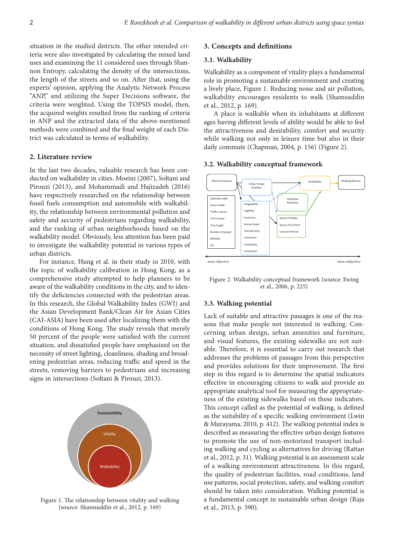situation in the studied districts. The other intended criteria were also investigated by calculating the mixed land uses and examining the 11 considered uses through Shannon Entropy, calculating the density of the intersections, the length of the streets and so on. After that, using the experts' opinion, applying the Analytic Network Process "ANP," and utilizing the Super Decisions software, the criteria were weighted. Using the TOPSIS model, then, the acquired weights resulted from the ranking of criteria in ANP and the extracted data of the above-mentioned methods were combined and the final weight of each District was calculated in terms of walkability.

# **2. Literature review**

In the last two decades, valuable research has been conducted on walkability in cities. Moeini (2007), Soltani and Pirouzi (2013), and Mohammadi and Hajizadeh (2016) have respectively researched on the relationship between fossil fuels consumption and automobile with walkability, the relationship between environmental pollution and safety and security of pedestrians regarding walkability, and the ranking of urban neighborhoods based on the walkability model. Obviously, less attention has been paid to investigate the walkability potential in various types of urban districts.

For instance, Hung et al. in their study in 2010, with the topic of walkability calibration in Hong Kong, as a comprehensive study attempted to help planners to be aware of the walkability conditions in the city, and to identify the deficiencies connected with the pedestrian areas. In this research, the Global Walkability Index (GWI) and the Asian Development Bank/Clean Air for Asian Cities (CAI-ASIA) have been used after localizing them with the conditions of Hong Kong. The study reveals that merely 50 percent of the people were satisfied with the current situation, and dissatisfied people have emphasized on the necessity of street lighting, cleanliness, shading and broadening pedestrian areas, reducing traffic and speed in the streets, removing barriers to pedestrians and increasing signs in intersections (Soltani & Pirouzi, 2013).



Figure 1. The relationship between vitality and walking (source: Shamsuddin et al., 2012, p. 169)

#### **3. Concepts and definitions**

#### **3.1. Walkability**

Walkability as a component of vitality plays a fundamental role in promoting a sustainable environment and creating a lively place, Figure 1. Reducing noise and air pollution, walkability encourages residents to walk (Shamsuddin et al., 2012, p. 169).

A place is walkable when its inhabitants at different ages having different levels of ability would be able to feel the attractiveness and desirability, comfort and security while walking not only in leisure time but also in their daily commute (Chapman, 2004, p. 156) (Figure 2).



#### **3.2. Walkability conceptual framework**

Figure 2. Walkability conceptual framework (source: Ewing et al., 2006, p. 225)

### **3.3. Walking potential**

Lack of suitable and attractive passages is one of the reasons that make people not interested in walking. Concerning urban design, urban amenities and furniture, and visual features, the existing sidewalks are not suitable. Therefore, it is essential to carry out research that addresses the problems of passages from this perspective and provides solutions for their improvement. The first step in this regard is to determine the spatial indicators effective in encouraging citizens to walk and provide an appropriate analytical tool for measuring the appropriateness of the existing sidewalks based on these indicators. This concept called as the potential of walking, is defined as the suitability of a specific walking environment (Lwin & Murayama, 2010, p. 412). The walking potential index is described as measuring the effective urban design features to promote the use of non-motorized transport including walking and cycling as alternatives for driving (Rattan et al., 2012, p. 31). Walking potential is an assessment scale of a walking environment attractiveness. In this regard, the quality of pedestrian facilities, road conditions, land use patterns, social protection, safety, and walking comfort should be taken into consideration. Walking potential is a fundamental concept in sustainable urban design (Raja et al., 2013, p. 590).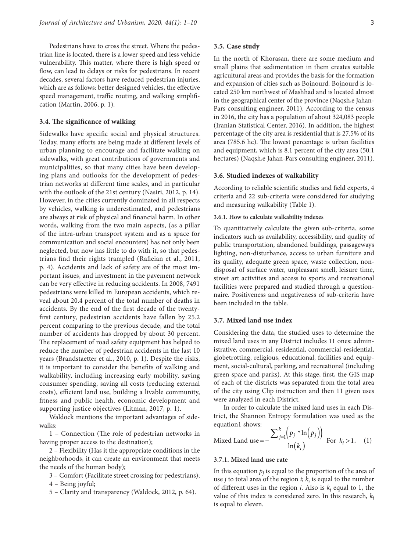Pedestrians have to cross the street. Where the pedestrian line is located, there is a lower speed and less vehicle vulnerability. This matter, where there is high speed or flow, can lead to delays or risks for pedestrians. In recent decades, several factors have reduced pedestrian injuries, which are as follows: better designed vehicles, the effective speed management, traffic routing, and walking simplification (Martin, 2006, p. 1).

### **3.4. The significance of walking**

Sidewalks have specific social and physical structures. Today, many efforts are being made at different levels of urban planning to encourage and facilitate walking on sidewalks, with great contributions of governments and municipalities, so that many cities have been developing plans and outlooks for the development of pedestrian networks at different time scales, and in particular with the outlook of the 21st century (Nasiri, 2012, p. 14). However, in the cities currently dominated in all respects by vehicles, walking is underestimated, and pedestrians are always at risk of physical and financial harm. In other words, walking from the two main aspects, (as a pillar of the intra-urban transport system and as a space for communication and social encounters) has not only been neglected, but now has little to do with it, so that pedestrians find their rights trampled (Rafieian et al., 2011, p. 4). Accidents and lack of safety are of the most important issues, and investment in the pavement network can be very effective in reducing accidents. In 2008, 7491 pedestrians were killed in European accidents, which reveal about 20.4 percent of the total number of deaths in accidents. By the end of the first decade of the twentyfirst century, pedestrian accidents have fallen by 25.2 percent comparing to the previous decade, and the total number of accidents has dropped by about 30 percent. The replacement of road safety equipment has helped to reduce the number of pedestrian accidents in the last 10 years (Brandstaetter et al., 2010, p. 1). Despite the risks, it is important to consider the benefits of walking and walkability, including increasing early mobility, saving consumer spending, saving all costs (reducing external costs), efficient land use, building a livable community, fitness and public health, economic development and supporting justice objectives (Litman, 2017, p. 1).

Waldock mentions the important advantages of sidewalks:

1 – Connection (The role of pedestrian networks in having proper access to the destination);

2 – Flexibility (Has it the appropriate conditions in the neighborhoods, it can create an environment that meets the needs of the human body);

3 – Comfort (Facilitate street crossing for pedestrians);

4 – Being joyful;

5 – Clarity and transparency (Waldock, 2012, p. 64).

# **3.5. Case study**

In the north of Khorasan, there are some medium and small plains that sedimentation in them creates suitable agricultural areas and provides the basis for the formation and expansion of cities such as Bojnourd. Bojnourd is located 250 km northwest of Mashhad and is located almost in the geographical center of the province (Naqsh,e Jahan-Pars consulting engineer, 2011). According to the census in 2016, the city has a population of about 324,083 people (Iranian Statistical Center, 2016). In addition, the highest percentage of the city area is residential that is 27.5% of its area (785.6 hc). The lowest percentage is urban facilities and equipment, which is 8.1 percent of the city area (50.1 hectares) (Naqsh,e Jahan-Pars consulting engineer, 2011).

#### **3.6. Studied indexes of walkability**

According to reliable scientific studies and field experts, 4 criteria and 22 sub-criteria were considered for studying and measuring walkability (Table 1).

#### **3.6.1. How to calculate walkability indexes**

To quantitatively calculate the given sub-criteria, some indicators such as availability, accessibility, and quality of public transportation, abandoned buildings, passageways lighting, non-disturbance, access to urban furniture and its quality, adequate green space, waste collection, nondisposal of surface water, unpleasant smell, leisure time, street art activities and access to sports and recreational facilities were prepared and studied through a questionnaire. Positiveness and negativeness of sub-criteria have been included in the table.

# **3.7. Mixed land use index**

Considering the data, the studied uses to determine the mixed land uses in any District includes 11 ones: administrative, commercial, residential, commercial-residential, globetrotting, religious, educational, facilities and equipment, social-cultural, parking, and recreational (including green space and parks). At this stage, first, the GIS map of each of the districts was separated from the total area of the city using Clip instruction and then 11 given uses were analyzed in each District.

In order to calculate the mixed land uses in each District, the Shannon Entropy formulation was used as the equation1 shows:

Mixed Land use 
$$
= -\frac{\sum_{j=1}^{k} (p_j * \ln(p_j))}{\ln(k_i)}
$$
 For  $k_i > 1$ . (1)

# **3.7.1. Mixed land use rate**

In this equation  $p_j$  is equal to the proportion of the area of use *j* to total area of the region *i*;  $k_i$  is equal to the number of different uses in the region  $i$ . Also is  $k_i$  equal to 1, the value of this index is considered zero. In this research,  $k_i$ is equal to eleven.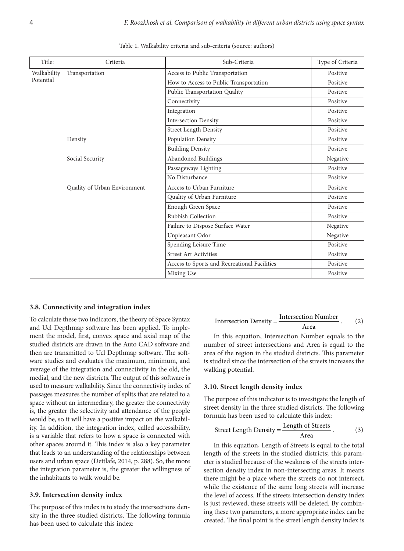| Title:          | Criteria                     | Sub-Criteria                                 | Type of Criteria |
|-----------------|------------------------------|----------------------------------------------|------------------|
| Walkability     | Transportation               | Access to Public Transportation              | Positive         |
| Potential       |                              | How to Access to Public Transportation       | Positive         |
|                 |                              | Public Transportation Quality                | Positive         |
|                 |                              | Connectivity                                 | Positive         |
|                 |                              | Integration                                  | Positive         |
|                 |                              | <b>Intersection Density</b>                  | Positive         |
|                 |                              | <b>Street Length Density</b>                 | Positive         |
|                 | Density                      | Population Density                           | Positive         |
|                 |                              | <b>Building Density</b>                      | Positive         |
| Social Security |                              | Abandoned Buildings                          | Negative         |
|                 |                              | Passageways Lighting                         | Positive         |
|                 |                              | No Disturbance                               | Positive         |
|                 | Quality of Urban Environment | Access to Urban Furniture                    | Positive         |
|                 |                              | Quality of Urban Furniture                   | Positive         |
|                 |                              | Enough Green Space                           | Positive         |
|                 |                              | Rubbish Collection                           | Positive         |
|                 |                              | Failure to Dispose Surface Water             | Negative         |
|                 |                              | Unpleasant Odor                              | Negative         |
|                 |                              | Spending Leisure Time                        | Positive         |
|                 |                              | <b>Street Art Activities</b>                 | Positive         |
|                 |                              | Access to Sports and Recreational Facilities | Positive         |
|                 |                              | Mixing Use                                   | Positive         |

Table 1. Walkability criteria and sub-criteria (source: authors)

#### **3.8. Connectivity and integration index**

To calculate these two indicators, the theory of Space Syntax and Ucl Depthmap software has been applied. To implement the model, first, convex space and axial map of the studied districts are drawn in the Auto CAD software and then are transmitted to Ucl Depthmap software. The software studies and evaluates the maximum, minimum, and average of the integration and connectivity in the old, the medial, and the new districts. The output of this software is used to measure walkability. Since the connectivity index of passages measures the number of splits that are related to a space without an intermediary, the greater the connectivity is, the greater the selectivity and attendance of the people would be, so it will have a positive impact on the walkability. In addition, the integration index, called accessibility, is a variable that refers to how a space is connected with other spaces around it. This index is also a key parameter that leads to an understanding of the relationships between users and urban space (Dettlafe, 2014, p. 288). So, the more the integration parameter is, the greater the willingness of the inhabitants to walk would be.

#### **3.9. Intersection density index**

The purpose of this index is to study the intersections density in the three studied districts. The following formula has been used to calculate this index:

$$
Intersection Density = \frac{Intersection Number}{Area}.
$$
 (2)

In this equation, Intersection Number equals to the number of street intersections and Area is equal to the area of the region in the studied districts. This parameter is studied since the intersection of the streets increases the walking potential.

### **3.10. Street length density index**

The purpose of this indicator is to investigate the length of street density in the three studied districts. The following formula has been used to calculate this index:

$$
Street Length Density = \frac{Length of Strees}{Area} \,. \tag{3}
$$

In this equation, Length of Streets is equal to the total length of the streets in the studied districts; this parameter is studied because of the weakness of the streets intersection density index in non-intersecting areas. It means there might be a place where the streets do not intersect, while the existence of the same long streets will increase the level of access. If the streets intersection density index is just reviewed, these streets will be deleted. By combining these two parameters, a more appropriate index can be created. The final point is the street length density index is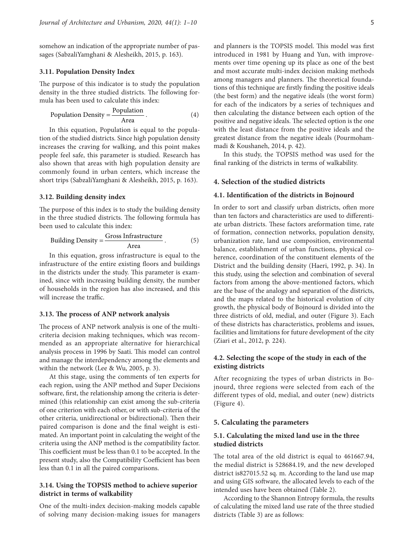somehow an indication of the appropriate number of passages (SabzaliYamghani & Alesheikh, 2015, p. 163).

### **3.11. Population Density Index**

The purpose of this indicator is to study the population density in the three studied districts. The following formula has been used to calculate this index:

Population Density = 
$$
\frac{\text{Population}}{\text{Area}}
$$
. (4)

In this equation, Population is equal to the population of the studied districts. Since high population density increases the craving for walking, and this point makes people feel safe, this parameter is studied. Research has also shown that areas with high population density are commonly found in urban centers, which increase the short trips (SabzaliYamghani & Alesheikh, 2015, p. 163).

### **3.12. Building density index**

The purpose of this index is to study the building density in the three studied districts. The following formula has been used to calculate this index:

Building Density = 
$$
\frac{G \text{ross Infrastructure}}{\text{Area}}.
$$
 (5)

In this equation, gross infrastructure is equal to the infrastructure of the entire existing floors and buildings in the districts under the study. This parameter is examined, since with increasing building density, the number of households in the region has also increased, and this will increase the traffic.

#### **3.13. The process of ANP network analysis**

The process of ANP network analysis is one of the multicriteria decision making techniques, which was recommended as an appropriate alternative for hierarchical analysis process in 1996 by Saati. This model can control and manage the interdependency among the elements and within the network (Lee & Wu, 2005, p. 3).

At this stage, using the comments of ten experts for each region, using the ANP method and Super Decisions software, first, the relationship among the criteria is determined (this relationship can exist among the sub-criteria of one criterion with each other, or with sub-criteria of the other criteria, unidirectional or bidirectional). Then their paired comparison is done and the final weight is estimated. An important point in calculating the weight of the criteria using the ANP method is the compatibility factor. This coefficient must be less than 0.1 to be accepted. In the present study, also the Compatibility Coefficient has been less than 0.1 in all the paired comparisons.

# **3.14. Using the TOPSIS method to achieve superior district in terms of walkability**

One of the multi-index decision-making models capable of solving many decision-making issues for managers and planners is the TOPSIS model. This model was first introduced in 1981 by Huang and Yun, with improvements over time opening up its place as one of the best and most accurate multi-index decision making methods among managers and planners. The theoretical foundations of this technique are firstly finding the positive ideals (the best form) and the negative ideals (the worst form) for each of the indicators by a series of techniques and then calculating the distance between each option of the positive and negative ideals. The selected option is the one with the least distance from the positive ideals and the greatest distance from the negative ideals (Pourmohammadi & Koushaneh, 2014, p. 42).

In this study, the TOPSIS method was used for the final ranking of the districts in terms of walkability.

#### **4. Selection of the studied districts**

### **4.1. Identification of the districts in Bojnourd**

In order to sort and classify urban districts, often more than ten factors and characteristics are used to differentiate urban districts. These factors areformation time, rate of formation, connection networks, population density, urbanization rate, land use composition, environmental balance, establishment of urban functions, physical coherence, coordination of the constituent elements of the District and the building density (Haeri, 1992, p. 34). In this study, using the selection and combination of several factors from among the above-mentioned factors, which are the base of the analogy and separation of the districts, and the maps related to the historical evolution of city growth, the physical body of Bojnourd is divided into the three districts of old, medial, and outer (Figure 3). Each of these districts has characteristics, problems and issues, facilities and limitations for future development of the city (Ziari et al., 2012, p. 224).

# **4.2. Selecting the scope of the study in each of the existing districts**

After recognizing the types of urban districts in Bojnourd, three regions were selected from each of the different types of old, medial, and outer (new) districts (Figure 4).

### **5. Calculating the parameters**

# **5.1. Calculating the mixed land use in the three studied districts**

The total area of the old district is equal to 461667.94, the medial district is 528684.19, and the new developed district is827015.52 sq. m. According to the land use map and using GIS software, the allocated levels to each of the intended uses have been obtained (Table 2).

According to the Shannon Entropy formula, the results of calculating the mixed land use rate of the three studied districts (Table 3) are as follows: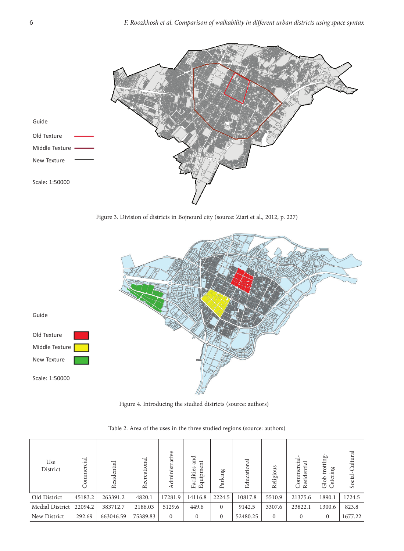

Figure 3. Division of districts in Bojnourd city (source: Ziari et al., 2012, p. 227)



Figure 4. Introducing the studied districts (source: authors)

| Use<br>District | Commercial | esidential<br>∝ | reational<br>Rec | dministrative | and<br>Equipment<br>Facilities | Parking  | Educational | Religious | ್ಸ<br>ن<br>H<br>ommer<br>₹<br>O<br>$\approx$ | trotting-<br>ing<br>ater<br>Glob | Cultural<br>Social- |
|-----------------|------------|-----------------|------------------|---------------|--------------------------------|----------|-------------|-----------|----------------------------------------------|----------------------------------|---------------------|
| Old District    | 45183.2    | 263391.2        | 4820.1           | 17281.9       | 14116.8                        | 2224.5   | 10817.8     | 5510.9    | 21375.6                                      | 1890.1                           | 1724.5              |
| Medial District | 22094.2    | 383712.7        | 2186.03          | 5129.6        | 449.6                          | $\Omega$ | 9142.5      | 3307.6    | 23822.1                                      | 1300.6                           | 823.8               |
| New District    | 292.69     | 663046.59       | 75389.83         | $\Omega$      | $\theta$                       | $\Omega$ | 52480.25    | $\Omega$  |                                              | $\Omega$                         | 1677.22             |

Table 2. Area of the uses in the three studied regions (source: authors)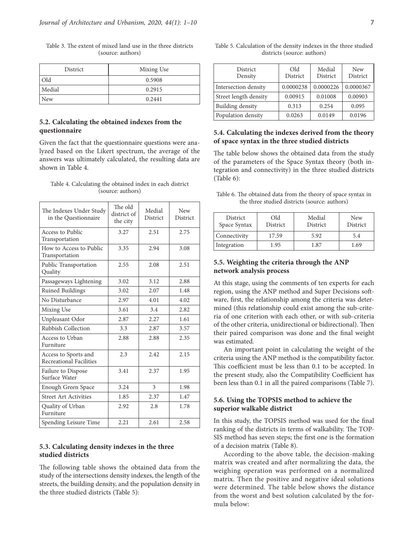| District   | Mixing Use |
|------------|------------|
| Old        | 0.5908     |
| Medial     | 0.2915     |
| <b>New</b> | 0.2441     |

Table 3. The extent of mixed land use in the three districts (source: authors)

# **5.2. Calculating the obtained indexes from the questionnaire**

Given the fact that the questionnaire questions were analyzed based on the Likert spectrum, the average of the answers was ultimately calculated, the resulting data are shown in Table 4.

Table 4. Calculating the obtained index in each district (source: authors)

| The Indexes Under Study<br>in the Questionnaire | The old<br>district of<br>the city | Medial<br><b>District</b> | New<br>District |
|-------------------------------------------------|------------------------------------|---------------------------|-----------------|
| Access to Public<br>Transportation              | 3.27                               | 2.51                      | 2.75            |
| How to Access to Public<br>Transportation       | 3.35                               | 2.94                      | 3.08            |
| Public Transportation<br>Quality                | 2.55                               | 2.08                      | 2.51            |
| Passageways Lightening                          | 3.02                               | 3.12                      | 2.88            |
| Ruined Buildings                                | 3.02                               | 2.07                      | 1.48            |
| No Disturbance                                  | 2.97                               | 4.01                      | 4.02            |
| Mixing Use                                      | 3.61                               | 3.4                       | 2.82            |
| Unpleasant Odor                                 | 2.87                               | 2.27                      | 1.61            |
| <b>Rubbish Collection</b>                       | 3.3                                | 2.87                      | 3.57            |
| Access to Urban<br>Furniture                    | 2.88                               | 2.88                      | 2.35            |
| Access to Sports and<br>Recreational Facilities | 2.3                                | 2.42                      | 2.15            |
| Failure to Dispose<br>Surface Water             | 3.41                               | 2.37                      | 1.95            |
| Enough Green Space                              | 3.24                               | 3                         | 1.98            |
| <b>Street Art Activities</b>                    | 1.85                               | 2.37                      | 1.47            |
| Quality of Urban<br>Furniture                   | 2.92                               | 2.8                       | 1.78            |
| Spending Leisure Time                           | 2.21                               | 2.61                      | 2.58            |

# **5.3. Calculating density indexes in the three studied districts**

The following table shows the obtained data from the study of the intersections density indexes, the length of the streets, the building density, and the population density in the three studied districts (Table 5):

Table 5. Calculation of the density indexes in the three studied districts (source: authors)

| <b>District</b><br>Density | Old<br>District | Medial<br>District | <b>New</b><br>District |
|----------------------------|-----------------|--------------------|------------------------|
| Intersection density       | 0.0000238       | 0.0000226          | 0.0000367              |
| Street length density      | 0.00915         | 0.01008            | 0.00903                |
| Building density           | 0.313           | 0.254              | 0.095                  |
| Population density         | 0.0263          | 0.0149             | 0.0196                 |

# **5.4. Calculating the indexes derived from the theory of space syntax in the three studied districts**

The table below shows the obtained data from the study of the parameters of the Space Syntax theory (both integration and connectivity) in the three studied districts (Table 6):

Table 6. The obtained data from the theory of space syntax in the three studied districts (source: authors)

| <b>District</b><br>Space Syntax | Old<br><b>District</b> | Medial<br>District | <b>New</b><br>District |
|---------------------------------|------------------------|--------------------|------------------------|
| Connectivity                    | 17.59                  | 5.92               | 5.4                    |
| Integration                     | 1.95                   | 1.87               | 1.69                   |

# **5.5. Weighting the criteria through the ANP network analysis process**

At this stage, using the comments of ten experts for each region, using the ANP method and Super Decisions software, first, the relationship among the criteria was determined (this relationship could exist among the sub-criteria of one criterion with each other, or with sub-criteria of the other criteria, unidirectional or bidirectional). Then their paired comparison was done and the final weight was estimated.

An important point in calculating the weight of the criteria using the ANP method is the compatibility factor. This coefficient must be less than 0.1 to be accepted. In the present study, also the Compatibility Coefficient has been less than 0.1 in all the paired comparisons (Table 7).

# **5.6. Using the TOPSIS method to achieve the superior walkable district**

In this study, the TOPSIS method was used for the final ranking of the districts in terms of walkability. The TOP-SIS method has seven steps; the first one is the formation of a decision matrix (Table 8).

According to the above table, the decision-making matrix was created and after normalizing the data, the weighing operation was performed on a normalized matrix. Then the positive and negative ideal solutions were determined. The table below shows the distance from the worst and best solution calculated by the formula below: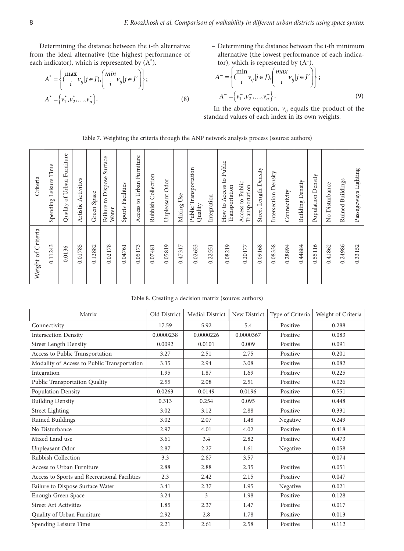Determining the distance between the i-th alternative from the ideal alternative (the highest performance of each indicator), which is represented by  $(A^*)$ .

$$
A^* = \left\{ \left( \begin{matrix} \max_i & v_{ij} \mid j \in J \end{matrix} \right) \left( \begin{matrix} \min_i & v_{ij} \mid j \in J' \end{matrix} \right) \right\};
$$
\n
$$
A^* = \left\{ v_1^*, v_2^*, \dots, v_n^* \right\}. \tag{8}
$$

– Determining the distance between the i-th minimum alternative (the lowest performance of each indicator), which is represented by (A–).

$$
A^{-} = \left\{ (\begin{matrix} \min_{i} v_{ij} | j \in J), \left( \begin{matrix} \max_{i} v_{ij} | j \in J' \end{matrix} \right) \right\}; \\ A^{-} = \left\{ v_{1}^{-}, v_{2}^{-}, \dots, v_{n}^{-} \right\}. \end{matrix} \tag{9}
$$

In the above equation,  $v_{ij}$  equals the product of the standard values of each index in its own weights.

|  |  |  |  |  | Table 7. Weighting the criteria through the ANP network analysis process (source: authors) |
|--|--|--|--|--|--------------------------------------------------------------------------------------------|
|--|--|--|--|--|--------------------------------------------------------------------------------------------|

| Weight of Criteria | Criteria                                   |
|--------------------|--------------------------------------------|
| 0.11243            | Time<br>Leisure<br>Spending                |
| 0.0136             | Quality of Urban Furniture                 |
| 0.01785            | Activities<br>Artistic                     |
| 0.12882            | Green Space                                |
| 0.02178            | Surface<br>Dispose!<br>Failure to<br>Water |
| 0.04761            | Facilities<br>Sports                       |
| 0.05173            | Access to Urban Furniture                  |
| 0.07481            | Collection<br>Rubbish                      |
| 0.05819            | Unpleasant Odor                            |
| 0.47317            | Use<br>Mixing                              |
| 0.02653            | Transportation<br>Quality<br>Public        |
| 0.22551            | Integration                                |
| 0.08219            | How to Access to Public<br>Transportation  |
| 0.20177            | Access to Public<br>Transportation         |
| 0.09168            | Street Length Density                      |
| 0.08338            | Intersection Density                       |
| 0.28894            | Connectivity                               |
| 0.44884            | Density<br>Building                        |
| 0.55116            | Density<br>Population                      |
| 0.41862            | Disturbance<br>$\frac{1}{2}$               |
| 0.24986            | Ruined Buildings                           |
| 0.33152            | Passageways Lighting                       |

Table 8. Creating a decision matrix (source: authors)

| Matrix                                       | Old District | Medial District | New District | Type of Criteria | Weight of Criteria |
|----------------------------------------------|--------------|-----------------|--------------|------------------|--------------------|
| Connectivity                                 | 17.59        | 5.92            | 5.4          | Positive         | 0.288              |
| <b>Intersection Density</b>                  | 0.0000238    | 0.0000226       | 0.0000367    | Positive         | 0.083              |
| <b>Street Length Density</b>                 | 0.0092       | 0.0101          | 0.009        | Positive         | 0.091              |
| Access to Public Transportation              | 3.27         | 2.51            | 2.75         | Positive         | 0.201              |
| Modality of Access to Public Transportation  | 3.35         | 2.94            | 3.08         | Positive         | 0.082              |
| Integration                                  | 1.95         | 1.87            | 1.69         | Positive         | 0.225              |
| Public Transportation Quality                | 2.55         | 2.08            | 2.51         | Positive         | 0.026              |
| Population Density                           | 0.0263       | 0.0149          | 0.0196       | Positive         | 0.551              |
| <b>Building Density</b>                      | 0.313        | 0.254           | 0.095        | Positive         | 0.448              |
| <b>Street Lighting</b>                       | 3.02         | 3.12            | 2.88         | Positive         | 0.331              |
| Ruined Buildings                             | 3.02         | 2.07            | 1.48         | Negative         | 0.249              |
| No Disturbance                               | 2.97         | 4.01            | 4.02         | Positive         | 0.418              |
| Mixed Land use                               | 3.61         | 3.4             | 2.82         | Positive         | 0.473              |
| Unpleasant Odor                              | 2.87         | 2.27            | 1.61         | Negative         | 0.058              |
| Rubbish Collection                           | 3.3          | 2.87            | 3.57         |                  | 0.074              |
| Access to Urban Furniture                    | 2.88         | 2.88            | 2.35         | Positive         | 0.051              |
| Access to Sports and Recreational Facilities | 2.3          | 2.42            | 2.15         | Positive         | 0.047              |
| Failure to Dispose Surface Water             | 3.41         | 2.37            | 1.95         | Negative         | 0.021              |
| Enough Green Space                           | 3.24         | 3               | 1.98         | Positive         | 0.128              |
| <b>Street Art Activities</b>                 | 1.85         | 2.37            | 1.47         | Positive         | 0.017              |
| Quality of Urban Furniture                   | 2.92         | 2.8             | 1.78         | Positive         | 0.013              |
| Spending Leisure Time                        | 2.21         | 2.61            | 2.58         | Positive         | 0.112              |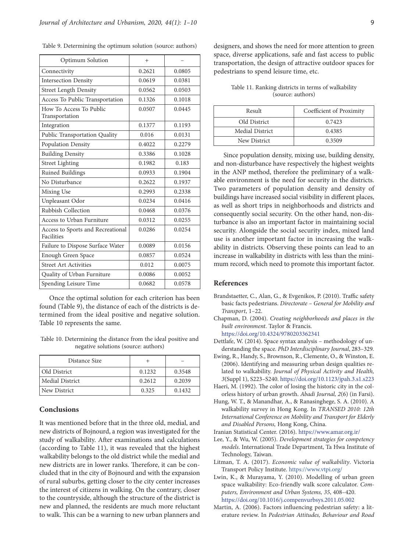| Optimum Solution                                | $^{+}$ |        |
|-------------------------------------------------|--------|--------|
| Connectivity                                    | 0.2621 | 0.0805 |
| <b>Intersection Density</b>                     | 0.0619 | 0.0381 |
| <b>Street Length Density</b>                    | 0.0562 | 0.0503 |
| Access To Public Transportation                 | 0.1326 | 0.1018 |
| How To Access To Public<br>Transportation       | 0.0507 | 0.0445 |
| Integration                                     | 0.1377 | 0.1193 |
| Public Transportation Quality                   | 0.016  | 0.0131 |
| Population Density                              | 0.4022 | 0.2279 |
| <b>Building Density</b>                         | 0.3386 | 0.1028 |
| <b>Street Lighting</b>                          | 0.1982 | 0.183  |
| Ruined Buildings                                | 0.0933 | 0.1904 |
| No Disturbance                                  | 0.2622 | 0.1937 |
| Mixing Use                                      | 0.2993 | 0.2338 |
| Unpleasant Odor                                 | 0.0234 | 0.0416 |
| <b>Rubbish Collection</b>                       | 0.0468 | 0.0376 |
| Access to Urban Furniture                       | 0.0312 | 0.0255 |
| Access to Sports and Recreational<br>Facilities | 0.0286 | 0.0254 |
| Failure to Dispose Surface Water                | 0.0089 | 0.0156 |
| Enough Green Space                              | 0.0857 | 0.0524 |
| <b>Street Art Activities</b>                    | 0.012  | 0.0075 |
| Quality of Urban Furniture                      | 0.0086 | 0.0052 |
| Spending Leisure Time                           | 0.0682 | 0.0578 |

Once the optimal solution for each criterion has been found (Table 9), the distance of each of the districts is determined from the ideal positive and negative solution. Table 10 represents the same.

Table 10. Determining the distance from the ideal positive and negative solutions (source: authors)

| Distance Size   |        |        |
|-----------------|--------|--------|
| Old District    | 0.1232 | 0.3548 |
| Medial District | 0.2612 | 0.2039 |
| New District    | 0.325  | 0.1432 |

# **Conclusions**

It was mentioned before that in the three old, medial, and new districts of Bojnourd, a region was investigated for the study of walkability. After examinations and calculations (according to Table 11), it was revealed that the highest walkability belongs to the old district while the medial and new districts are in lower ranks. Therefore, it can be concluded that in the city of Bojnourd and with the expansion of rural suburbs, getting closer to the city center increases the interest of citizens in walking. On the contrary, closer to the countryside, although the structure of the district is new and planned, the residents are much more reluctant to walk. This can be a warning to new urban planners and designers, and shows the need for more attention to green space, diverse applications, safe and fast access to public transportation, the design of attractive outdoor spaces for pedestrians to spend leisure time, etc.

Table 11. Ranking districts in terms of walkability (source: authors)

| Result          | Coefficient of Proximity |
|-----------------|--------------------------|
| Old District    | 0.7423                   |
| Medial District | 0.4385                   |
| New District    | 0.3509                   |

Since population density, mixing use, building density, and non-disturbance have respectively the highest weights in the ANP method, therefore the preliminary of a walkable environment is the need for security in the districts. Two parameters of population density and density of buildings have increased social visibility in different places, as well as short trips in neighborhoods and districts and consequently social security. On the other hand, non-disturbance is also an important factor in maintaining social security. Alongside the social security index, mixed land use is another important factor in increasing the walkability in districts. Observing these points can lead to an increase in walkability in districts with less than the minimum record, which need to promote this important factor.

# **References**

- Brandstaetter, C., Alan, G., & Evgenikos, P. (2010). Traffic safety basic facts pedestrians. *Directorate – General for Mobility and Transport*, 1–22.
- Chapman, D. (2004). *Creating neighborhoods and places in the built environment*. Taylor & Francis. https://doi.org/10.4324/9780203362341
- Dettlafe, W. (2014). Space syntax analysis methodology of understanding the space. *PhD Interdisciplinary Journal*, 283–329*.*
- Ewing, R., Handy, S., Brownson, R., Clemente, O., & Winston, E. (2006). Identifying and measuring urban design qualities related to walkability. *Journal of Physical Activity and Health, 3*(Suppl 1), S223–S240.<https://doi.org/10.1123/jpah.3.s1.s223>
- Haeri, M. (1992). The color of losing the historic city in the colorless history of urban growth. *Abadi Journal, 2*(6) (in Farsi).
- Hung, W. T., & Manandhar, A., & Ranasinghege, S. A. (2010). A walkability survey in Hong Kong. In *TRANSED 2010: 12th International Conference on Mobility and Transport for Elderly and Disabled Persons,* Hong Kong, China.
- Iranian Statistical Center. (2016). <https://www.amar.org.ir/>
- Lee, Y., & Wu, W. (2005). *Development strategies for competency models*. International Trade Department, Ta Hwa Institute of Technology, Taiwan.
- Litman, T. A. (2017). *Economic value of walkability*. Victoria Transport Policy Institute. <https://www.vtpi.org/>
- Lwin, K., & Murayama, Y. (2010). Modelling of urban green space walkability: Eco-friendly walk score calculator. *Computers, Environment and Urban Systems, 35*, 408–420. <https://doi.org/10.1016/j.compenvurbsys.2011.05.002>
- Martin, A. (2006). Factors influencing pedestrian safety: a literature review. In *Pedestrian Attitudes, Behaviour and Road*